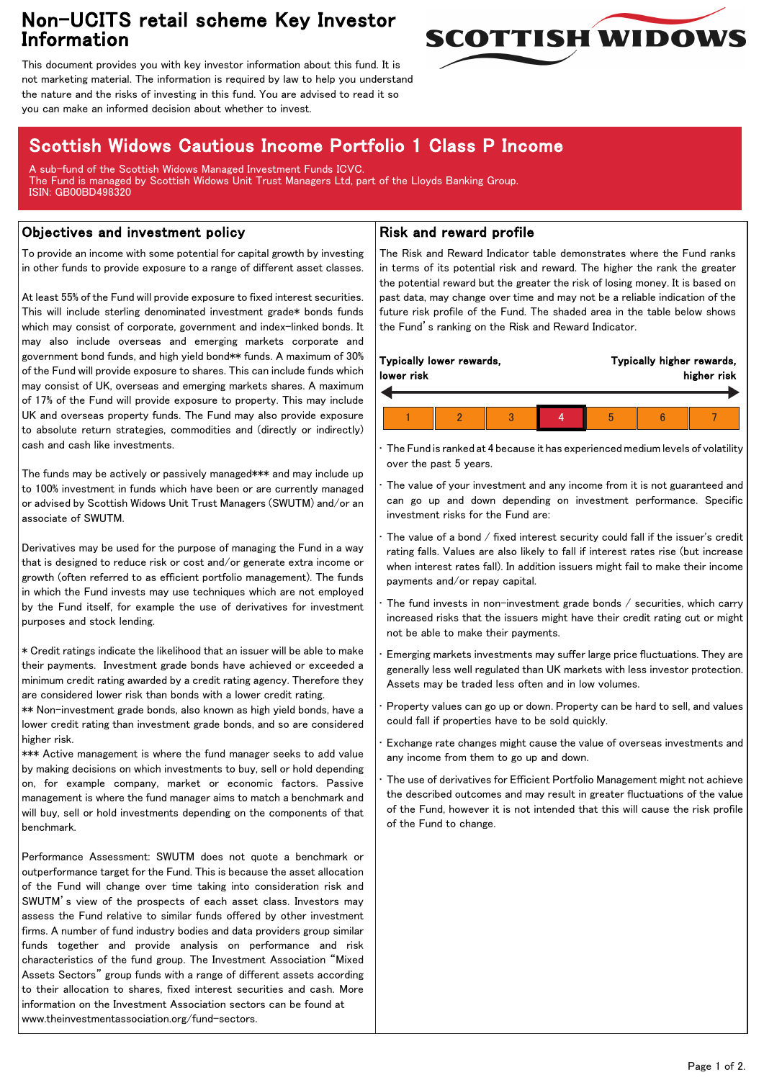## Non-UCITS retail scheme Key Investor Information



This document provides you with key investor information about this fund. It is not marketing material. The information is required by law to help you understand the nature and the risks of investing in this fund. You are advised to read it so you can make an informed decision about whether to invest.

# Scottish Widows Cautious Income Portfolio 1 Class P Income

A sub-fund of the Scottish Widows Managed Investment Funds ICVC. The Fund is managed by Scottish Widows Unit Trust Managers Ltd, part of the Lloyds Banking Group. ISIN: GB00BD498320

### Objectives and investment policy

To provide an income with some potential for capital growth by investing in other funds to provide exposure to a range of different asset classes.

At least 55% of the Fund will provide exposure to fixed interest securities. This will include sterling denominated investment grade\* bonds funds which may consist of corporate, government and index-linked bonds. It may also include overseas and emerging markets corporate and government bond funds, and high yield bond\*\* funds. A maximum of 30% of the Fund will provide exposure to shares. This can include funds which may consist of UK, overseas and emerging markets shares. A maximum of 17% of the Fund will provide exposure to property. This may include UK and overseas property funds. The Fund may also provide exposure to absolute return strategies, commodities and (directly or indirectly) cash and cash like investments.

The funds may be actively or passively managed\*\*\* and may include up to 100% investment in funds which have been or are currently managed or advised by Scottish Widows Unit Trust Managers (SWUTM) and/or an associate of SWUTM.

Derivatives may be used for the purpose of managing the Fund in a way that is designed to reduce risk or cost and/or generate extra income or growth (often referred to as efficient portfolio management). The funds in which the Fund invests may use techniques which are not employed by the Fund itself, for example the use of derivatives for investment purposes and stock lending.

\* Credit ratings indicate the likelihood that an issuer will be able to make their payments. Investment grade bonds have achieved or exceeded a minimum credit rating awarded by a credit rating agency. Therefore they are considered lower risk than bonds with a lower credit rating.

\*\* Non-investment grade bonds, also known as high yield bonds, have a lower credit rating than investment grade bonds, and so are considered higher risk.

\*\*\* Active management is where the fund manager seeks to add value by making decisions on which investments to buy, sell or hold depending on, for example company, market or economic factors. Passive management is where the fund manager aims to match a benchmark and will buy, sell or hold investments depending on the components of that benchmark.

Performance Assessment: SWUTM does not quote a benchmark or outperformance target for the Fund. This is because the asset allocation of the Fund will change over time taking into consideration risk and SWUTM's view of the prospects of each asset class. Investors may assess the Fund relative to similar funds offered by other investment firms. A number of fund industry bodies and data providers group similar funds together and provide analysis on performance and risk characteristics of the fund group. The Investment Association "Mixed Assets Sectors" group funds with a range of different assets according to their allocation to shares, fixed interest securities and cash. More information on the Investment Association sectors can be found at www.theinvestmentassociation.org/fund-sectors.

#### Risk and reward profile

The Risk and Reward Indicator table demonstrates where the Fund ranks in terms of its potential risk and reward. The higher the rank the greater the potential reward but the greater the risk of losing money. It is based on past data, may change over time and may not be a reliable indication of the future risk profile of the Fund. The shaded area in the table below shows the Fund's ranking on the Risk and Reward Indicator.

| Typically lower rewards,<br>lower risk |  |  |  | Typically higher rewards,<br>higher risk |  |  |
|----------------------------------------|--|--|--|------------------------------------------|--|--|
|                                        |  |  |  |                                          |  |  |
|                                        |  |  |  |                                          |  |  |

• The Fund is ranked at 4 because it has experienced medium levels of volatility over the past 5 years.

The value of your investment and any income from it is not guaranteed and can go up and down depending on investment performance. Specific investment risks for the Fund are:

• The value of a bond / fixed interest security could fall if the issuer's credit rating falls. Values are also likely to fall if interest rates rise (but increase when interest rates fall). In addition issuers might fail to make their income payments and/or repay capital.

The fund invests in non-investment grade bonds / securities, which carry increased risks that the issuers might have their credit rating cut or might not be able to make their payments.

• Emerging markets investments may suffer large price fluctuations. They are generally less well regulated than UK markets with less investor protection. Assets may be traded less often and in low volumes.

• Property values can go up or down. Property can be hard to sell, and values could fall if properties have to be sold quickly.

Exchange rate changes might cause the value of overseas investments and any income from them to go up and down.

• The use of derivatives for Efficient Portfolio Management might not achieve the described outcomes and may result in greater fluctuations of the value of the Fund, however it is not intended that this will cause the risk profile of the Fund to change.